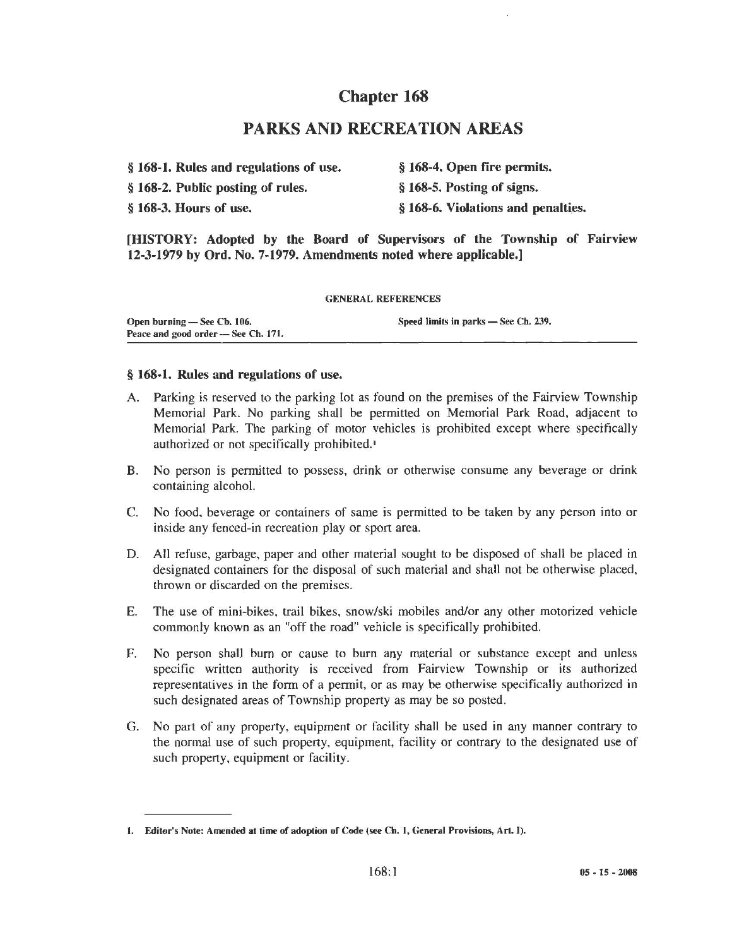# Chapter 168

## PARKS AND RECREATION AREAS

|  |  | § 168-1. Rules and regulations of use. | § 168-4. Open fire permits. |
|--|--|----------------------------------------|-----------------------------|
|--|--|----------------------------------------|-----------------------------|

§ 168-2. Public posting of rules.

§ 168-5. Posting of signs.

§ 168-3. Hours of use. § 168-6. Violations and penalties.

[HISTORY: Adopted by the Board of Supervisors of the Township of Fairview 12-3-1979 by Ord. No. 7-1979. Amendments noted where applicable.]

GENERAL REFERENCES

| Open burning — See Cb. 106.         | Speed limits in parks – See Ch. 239. |
|-------------------------------------|--------------------------------------|
| Peace and good order - See Ch. 171. |                                      |

#### § 168-1. Rules and regulations of use.

- A. Parking is reserved to the parking lot as found on the premises of the Fairview Township Memorial Park. No parking shall be permitted on Memorial Park Road, adjacent to Memorial Park. The parking of motor vehicles is prohibited except where specifically authorized or not specifically prohibited.<sup>1</sup>
- B. No person is permitted to possess, drink or otherwise consume any beverage or drink containing alcohol.
- C. No food, beverage or containers of same is permitted to be taken by any person into or inside any fenced-in recreation play or sport area.
- D. All refuse, garbage, paper and other material sought to be disposed of shall be placed in designated containers for the disposal of such material and shall not be otherwise placed, thrown or discarded on the premises.
- E. The use of mini-bikes, trail bikes, snow/ski mobiles and/or any other motorized vehicle commonly known as an "off the road" vehicle is specifically prohibited.
- F. No person shall bum or cause to burn any material or substance except and unless specific written authority is received from Fairview Township or its authorized representatives in the form of a permit, or as may be otherwise specifical1y authorized in such designated areas of Township property as may be so posted.
- G. No part of any property, equipment or facility shall be used in any manner contrary to the normal use of such property, equipment, facility or contrary to the designated use of such property, equipment or facility.

<sup>1.</sup> Editor's Note: Amended at time of adoption of Code (see Ch. 1, General Provisions, Art. I).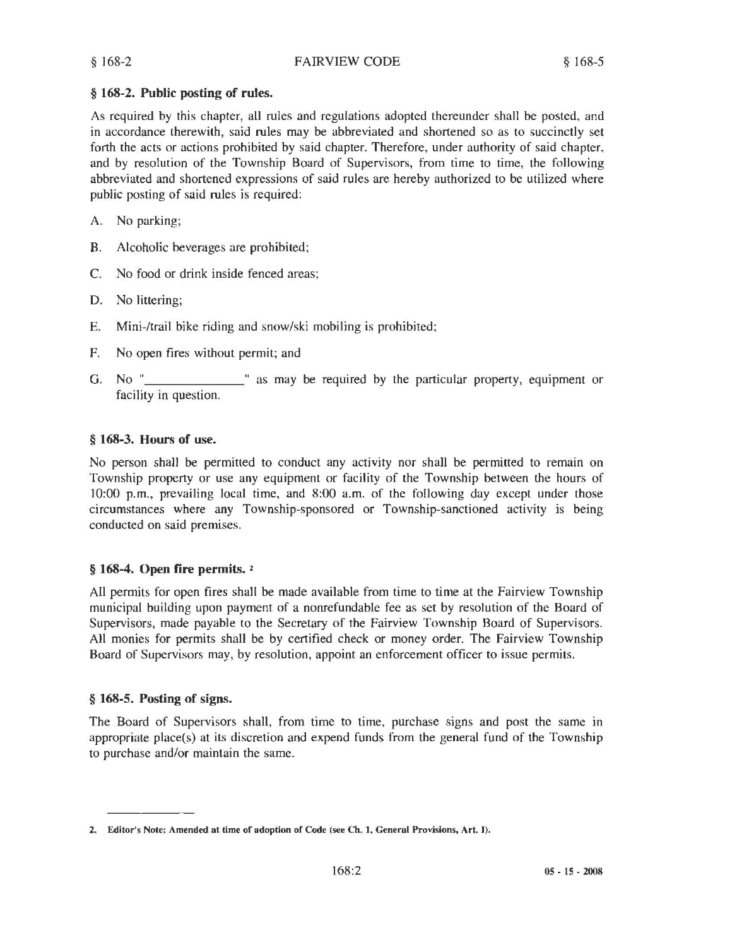### § 168-2. Public posting of rules.

As required by this chapter, all rules and regulations adopted thereunder shall be posted, and in accordance therewith, said rules may be abbreviated and shortened so as to succinctly set forth the acts or actions prohibited by said chapter. Therefore, under authority of said chapter, and by resolution of the Township Board of Supervisors, from time to time, the following abbreviated and shortened expressions of said rules are hereby authorized to be utilized where public posting of said rules is required:

- A. No parking;
- B. Alcoholic beverages are prohibited;
- C. No food or drink inside fenced areas;
- D. No littering;
- E. Mini-/trail bike riding and snow/ski mobiling is prohibited;
- F. No open fires without permit; and
- G. No "\_\_\_\_\_\_\_\_\_\_\_\_\_\_" as may be required by the particular property, equipment or facility in question.

### § 168-3. Hours of use.

No person shall be permitted to conduct any activity nor shall be permitted to remain on Township property or use any equipment or facility of the Township between the hours of 10:00 p.m., prevailing local time, and 8:00 a.m. of the following day except under those circumstances where any Township-sponsored or Township-sanctioned activity is being conducted on said premises.

### § 168-4. Open fire permits. <sup>2</sup>

All permits for open fires shall be made available from time to time at the Fairview Township municipal building upon payment of a nonrefundable fee as set by resolution of the Board of Supervisors, made payable to the Secretary of the Fairview Township Board of Supervisors. All monies for permits shall be by certified check or money order. The Fairview Township Board of Supervisors may, by resolution, appoint an enforcement officer to issue permits.

### § 168-5. Posting of signs.

The Board of Supervisors shall, from time to time, purchase signs and post the same in appropriate place(s) at its discretion and expend funds from the general fund of the Township to purchase and/or maintain the same.

<sup>2.</sup> Editor's Note: Amended at time of adoption of Code (see Ch. 1, General Provisions, Art. I).